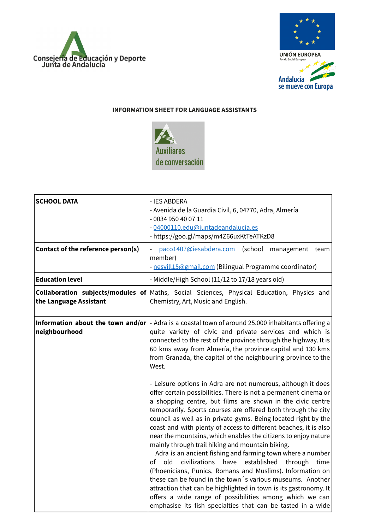



## **INFORMATION SHEET FOR LANGUAGE ASSISTANTS**



| <b>SCHOOL DATA</b>                 | - IES ABDERA<br>- Avenida de la Guardia Civil, 6, 04770, Adra, Almería<br>- 0034 950 40 07 11<br>- 04000110.edu@juntadeandalucia.es<br>- https://goo.gl/maps/m4Z66uxKtTeATKzD8                                                                                                                                                                                                                                                                                                                                                                                                                                                                                                                                                                                                                                                                                      |
|------------------------------------|---------------------------------------------------------------------------------------------------------------------------------------------------------------------------------------------------------------------------------------------------------------------------------------------------------------------------------------------------------------------------------------------------------------------------------------------------------------------------------------------------------------------------------------------------------------------------------------------------------------------------------------------------------------------------------------------------------------------------------------------------------------------------------------------------------------------------------------------------------------------|
| Contact of the reference person(s) | paco1407@iesabdera.com<br>(school<br>management<br>team<br>member)<br>- nesvill15@gmail.com (Bilingual Programme coordinator)                                                                                                                                                                                                                                                                                                                                                                                                                                                                                                                                                                                                                                                                                                                                       |
| <b>Education level</b>             | - Middle/High School (11/12 to 17/18 years old)                                                                                                                                                                                                                                                                                                                                                                                                                                                                                                                                                                                                                                                                                                                                                                                                                     |
| the Language Assistant             | <b>Collaboration subjects/modules of</b> Maths, Social Sciences, Physical Education, Physics and<br>Chemistry, Art, Music and English.                                                                                                                                                                                                                                                                                                                                                                                                                                                                                                                                                                                                                                                                                                                              |
| neighbourhood                      | <b>Information about the town and/or</b> $\vert$ - Adra is a coastal town of around 25.000 inhabitants offering a<br>quite variety of civic and private services and which is<br>connected to the rest of the province through the highway. It is<br>60 kms away from Almería, the province capital and 130 kms<br>from Granada, the capital of the neighbouring province to the<br>West.<br>- Leisure options in Adra are not numerous, although it does<br>offer certain possibilities. There is not a permanent cinema or<br>a shopping centre, but films are shown in the civic centre<br>temporarily. Sports courses are offered both through the city<br>council as well as in private gyms. Being located right by the<br>coast and with plenty of access to different beaches, it is also<br>near the mountains, which enables the citizens to enjoy nature |
|                                    | mainly through trail hiking and mountain biking.<br>Adra is an ancient fishing and farming town where a number<br>old<br>civilizations<br>have<br>established<br>of<br>through<br>time<br>(Phoenicians, Punics, Romans and Muslims). Information on<br>these can be found in the town 's various museums. Another<br>attraction that can be highlighted in town is its gastronomy. It<br>offers a wide range of possibilities among which we can<br>emphasise its fish specialties that can be tasted in a wide                                                                                                                                                                                                                                                                                                                                                     |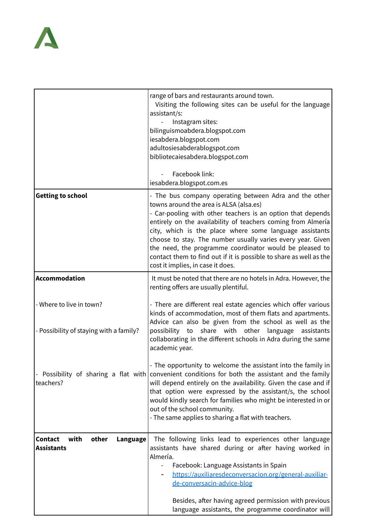## $\blacktriangle$

|                                                                         | range of bars and restaurants around town.<br>Visiting the following sites can be useful for the language<br>assistant/s:<br>Instagram sites:<br>bilinguismoabdera.blogspot.com<br>iesabdera.blogspot.com<br>adultosiesabderablogspot.com<br>bibliotecaiesabdera.blogspot.com<br>Facebook link:<br>iesabdera.blogspot.com.es                                                                                                                                           |
|-------------------------------------------------------------------------|------------------------------------------------------------------------------------------------------------------------------------------------------------------------------------------------------------------------------------------------------------------------------------------------------------------------------------------------------------------------------------------------------------------------------------------------------------------------|
| <b>Getting to school</b>                                                | - The bus company operating between Adra and the other                                                                                                                                                                                                                                                                                                                                                                                                                 |
|                                                                         | towns around the area is ALSA (alsa.es)<br>- Car-pooling with other teachers is an option that depends<br>entirely on the availability of teachers coming from Almería<br>city, which is the place where some language assistants<br>choose to stay. The number usually varies every year. Given<br>the need, the programme coordinator would be pleased to<br>contact them to find out if it is possible to share as well as the<br>cost it implies, in case it does. |
| Accommodation                                                           | It must be noted that there are no hotels in Adra. However, the<br>renting offers are usually plentiful.                                                                                                                                                                                                                                                                                                                                                               |
| - Where to live in town?<br>- Possibility of staying with a family?     | - There are different real estate agencies which offer various<br>kinds of accommodation, most of them flats and apartments.<br>Advice can also be given from the school as well as the<br>share with<br>possibility<br>other<br>language<br>to<br>assistants<br>collaborating in the different schools in Adra during the same<br>academic year.                                                                                                                      |
| teachers?                                                               | - The opportunity to welcome the assistant into the family in<br>Possibility of sharing a flat with convenient conditions for both the assistant and the family<br>will depend entirely on the availability. Given the case and if<br>that option were expressed by the assistant/s, the school<br>would kindly search for families who might be interested in or<br>out of the school community.<br>- The same applies to sharing a flat with teachers.               |
| with<br>other<br><b>Contact</b><br><b>Language</b><br><b>Assistants</b> | The following links lead to experiences other language<br>assistants have shared during or after having worked in<br>Almería.<br>Facebook: Language Assistants in Spain<br>https://auxiliaresdeconversacion.org/general-auxiliar-<br>de-conversacin-advice-blog                                                                                                                                                                                                        |
|                                                                         | Besides, after having agreed permission with previous<br>language assistants, the programme coordinator will                                                                                                                                                                                                                                                                                                                                                           |